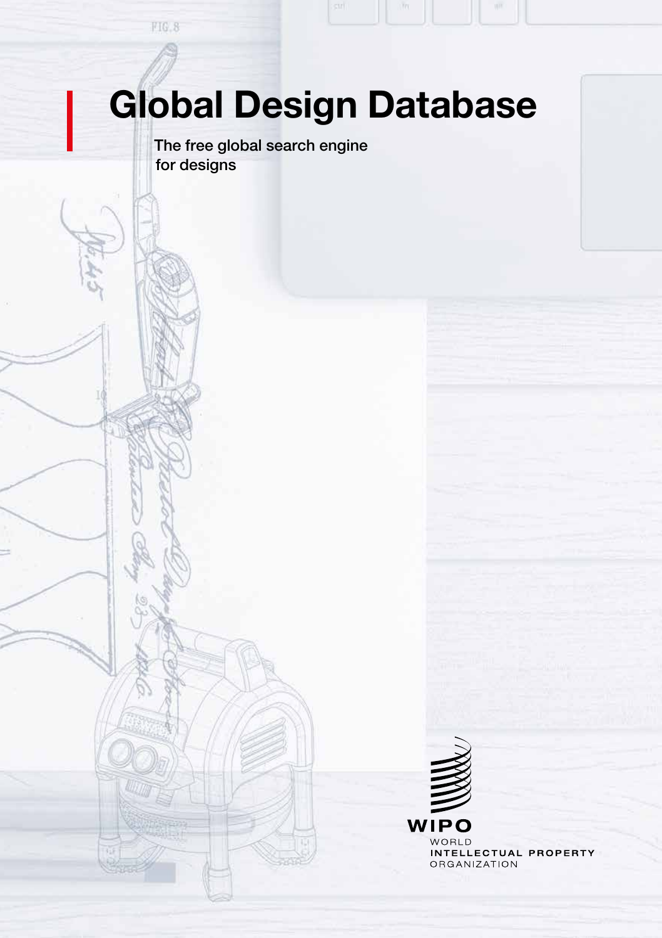# Global Design Database

The free global search engine for designs

 $FIG. 8$ 

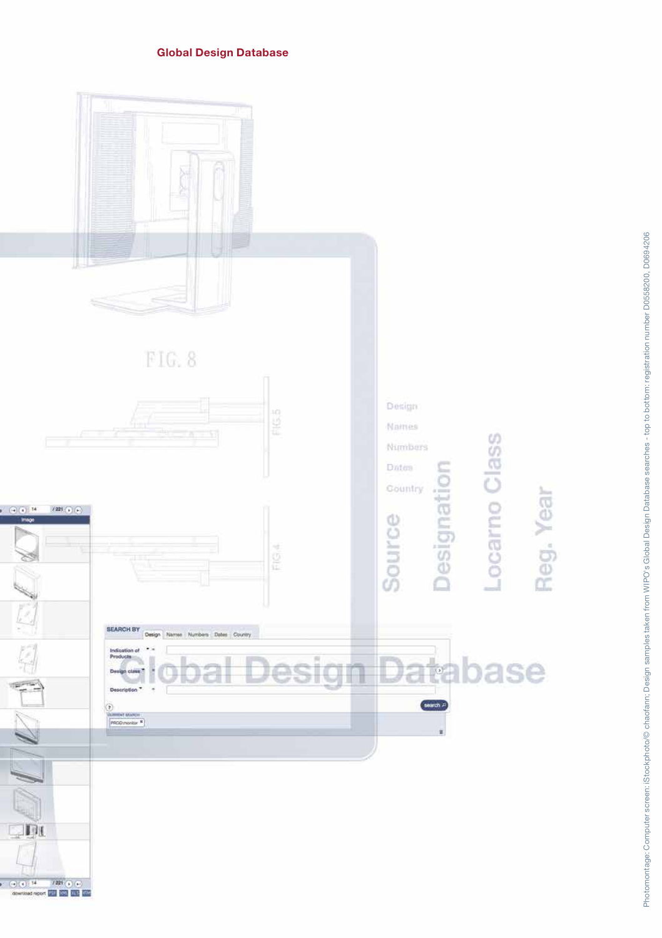#### Global Design Database

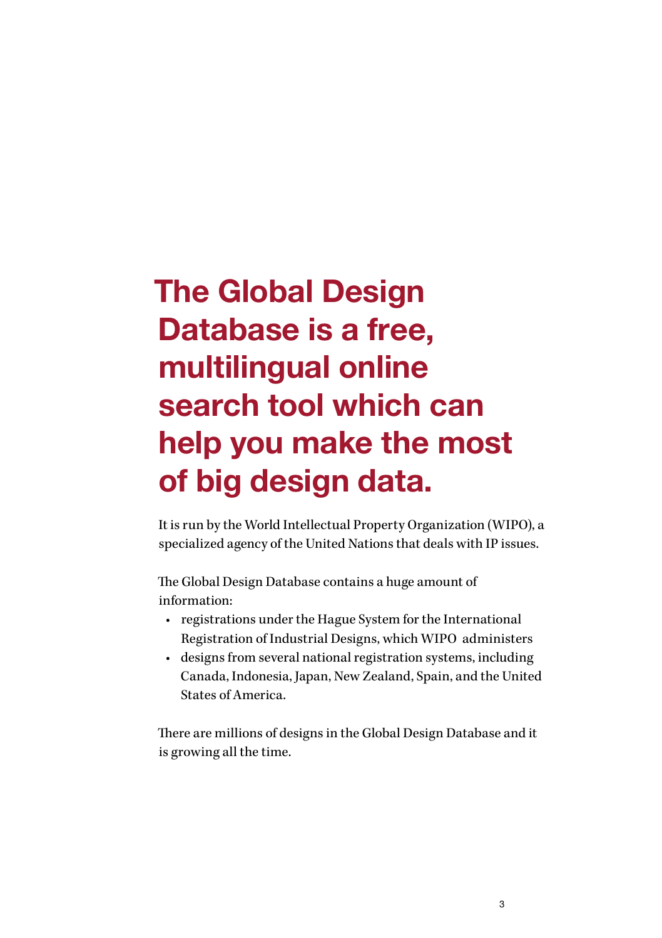## The [Global Design](http://www.wipo.int/designdb/en/index.jsp)  [Database](http://www.wipo.int/designdb/en/index.jsp) is a free, multilingual online search tool which can help you make the most of big design data.

It is run by the World Intellectual Property Organization (WIPO), a specialized agency of the United Nations that deals with IP issues.

The [Global Design Database](http://www.wipo.int/designdb/en/index.jsp) contains a huge amount of information:

- registrations under the Hague System for the International Registration of Industrial Designs, which WIPO administers
- designs from several national registration systems, including Canada, Indonesia, Japan, New Zealand, Spain, and the United States of America.

There are millions of designs in the [Global Design Database](http://www.wipo.int/designdb/en/index.jsp) and it is growing all the time.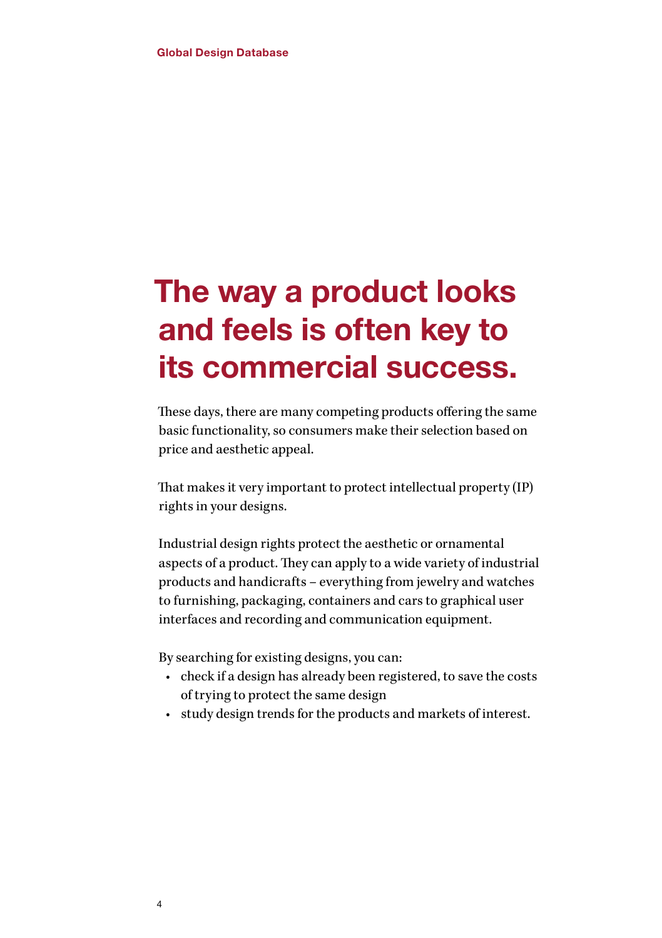#### The way a product looks and feels is often key to its commercial success.

These days, there are many competing products offering the same basic functionality, so consumers make their selection based on price and aesthetic appeal.

That makes it very important to protect intellectual property (IP) rights in your designs.

Industrial design rights protect the aesthetic or ornamental aspects of a product. They can apply to a wide variety of industrial products and handicrafts – everything from jewelry and watches to furnishing, packaging, containers and cars to graphical user interfaces and recording and communication equipment.

By searching for existing designs, you can:

- check if a design has already been registered, to save the costs of trying to protect the same design
- study design trends for the products and markets of interest.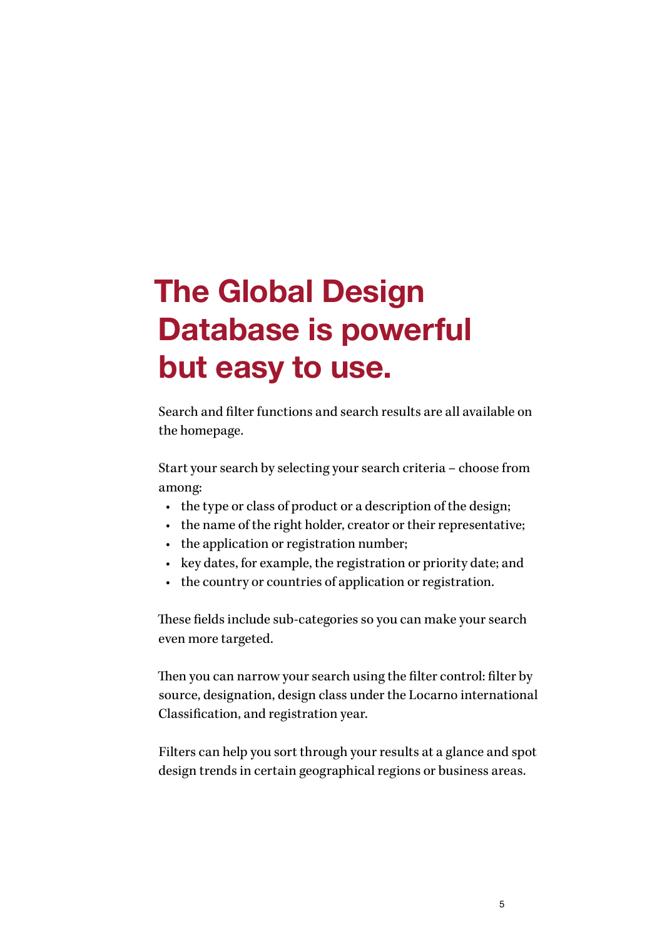## The Global Design Database is powerful but easy to use.

Search and filter functions and search results are all available on the [homepage.](http://www.wipo.int/designdb/en/index.jsp)

Start your search by selecting your search criteria – choose from among:

- the type or class of product or a description of the design;
- the name of the right holder, creator or their representative;
- the application or registration number;
- key dates, for example, the registration or priority date; and
- the country or countries of application or registration.

These fields include sub-categories so you can make your search even more targeted.

Then you can narrow your search using the filter control: filter by source, designation, design class under the Locarno international Classification, and registration year.

Filters can help you sort through your results at a glance and spot design trends in certain geographical regions or business areas.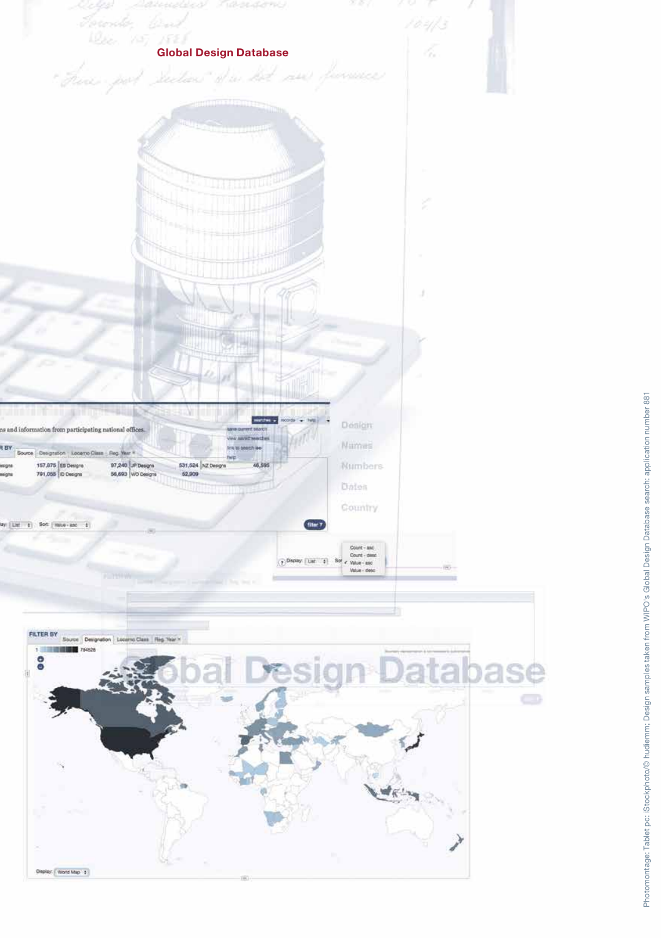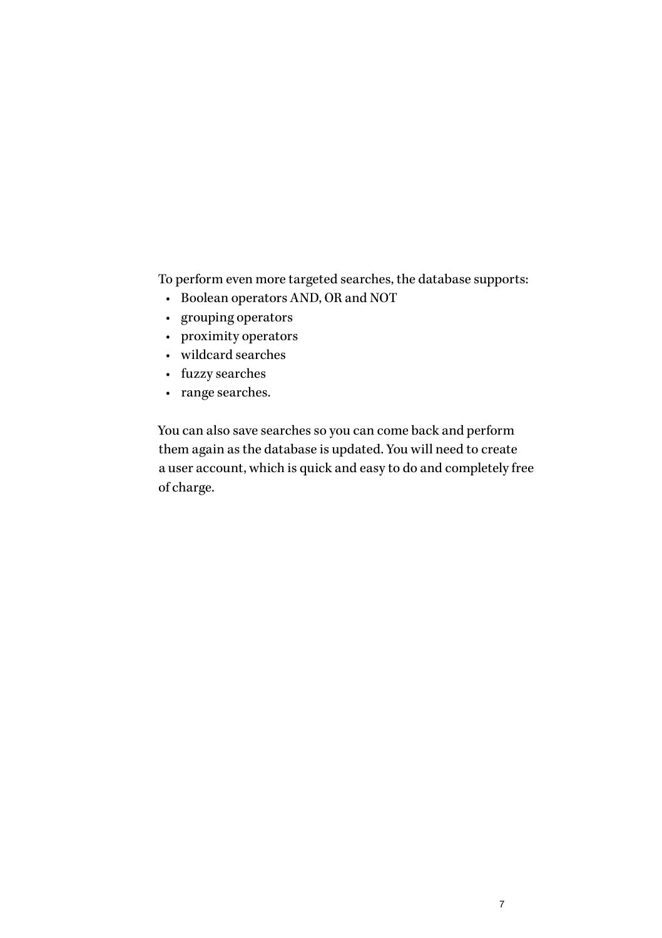To perform even more targeted searches, the database supports:

- Boolean operators AND, OR and NOT
- grouping operators
- proximity operators
- wildcard searches
- fuzzy searches
- range searches.

You can also save searches so you can come back and perform them again as the database is updated. You will need to [create](https://www3.wipo.int/wipoaccounts/en/usercenter/public/register.jsf) [a user account](https://www3.wipo.int/wipoaccounts/en/usercenter/public/register.jsf), which is quick and easy to do and completely free of charge.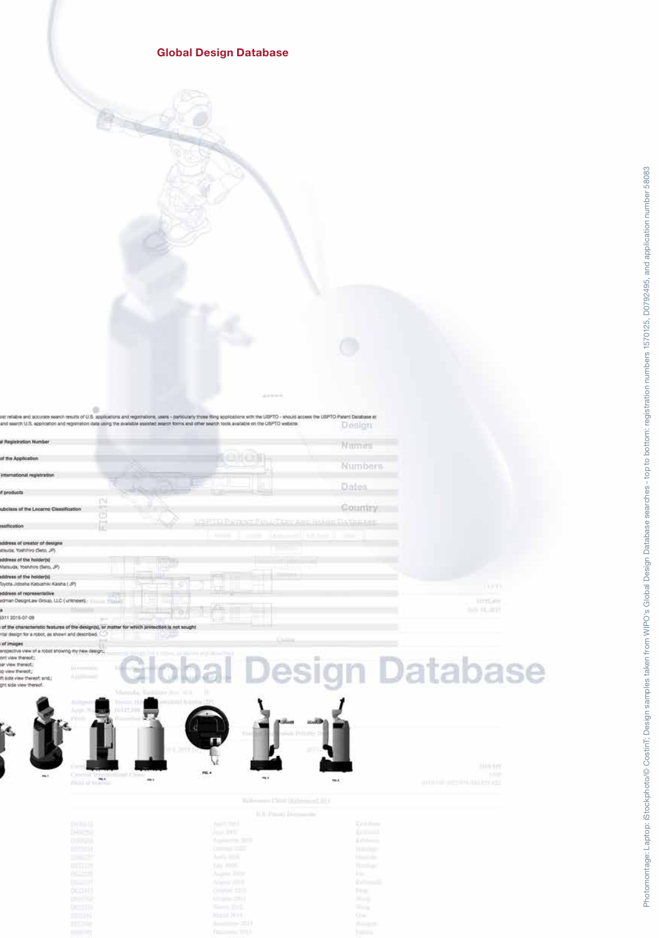#### Global Design Database

esits of U.S. ap eers - personary those filing applications with the USPTO - should access the USPTO Patent Database at<br>earch forms and other search tools available on the USPTO website. ano sei on. R U dresse by **Continue** Service  $\sim$ 

|                                                                                                                                                                                                                                                                                                                                            | in rounder.    |                         |
|--------------------------------------------------------------------------------------------------------------------------------------------------------------------------------------------------------------------------------------------------------------------------------------------------------------------------------------------|----------------|-------------------------|
| Registration Number                                                                                                                                                                                                                                                                                                                        | Millmes        |                         |
| <b>Ithe Application</b>                                                                                                                                                                                                                                                                                                                    | <b>Numbers</b> |                         |
| nolla itsiger lanoitemett                                                                                                                                                                                                                                                                                                                  |                |                         |
| products<br>N                                                                                                                                                                                                                                                                                                                              | Dolos          |                         |
| <b>ACT</b><br>bolass of the Locarno Classification<br>Ğ                                                                                                                                                                                                                                                                                    | Country        |                         |
| LISPITO PATENT FULL-TRY: AND HARRY DAYSEARE<br>$1 - 4$<br>affication<br>œ<br>Linesworth Lineswith<br><b>Record</b>                                                                                                                                                                                                                         | 11111          |                         |
| <b>1. 100 Mill</b><br>dress of creator of designs<br>(Ruda: Yokhihiro (Seto, JP)                                                                                                                                                                                                                                                           |                |                         |
| Idress of the holder(s)<br>latsuda; Yoshihiro (Seto, JP)                                                                                                                                                                                                                                                                                   |                |                         |
| Idress of the holder(s)<br>yota Jidosha Kabushiki Kaisha (JP)                                                                                                                                                                                                                                                                              |                | mm.                     |
| sdress of representative<br>drian DesignLaw Group, LLC (unknown)                                                                                                                                                                                                                                                                           |                | Write-<br>Arts 14, 2017 |
| 11 2015-07-09<br>of the characteristic features of the design(s), or matter for which protection is not sought<br>tal design for a robot, as shown and described.                                                                                                                                                                          |                |                         |
| o.<br>aegemi to<br><b>UTLAND AND UPPEAR OF A REAL</b><br>coastive view of a robot showing my new design:<br>tion, it is the top 40.3 divisor Third<br>thorney way in<br>: View thereof;<br><b>Interment</b><br>: hoorert weiv's<br><b>Applicant</b><br>aide view thereof; and,;<br>It side view thereof.<br>Malmaha, Wahlilline Root at A. |                | sign Database           |
| <b>Bibliother CEPS</b><br>10/27/19<br>۴.<br>mn<br><b>PO. 4</b><br>$0 = 10$<br>m.c.<br>$\cdots$<br>$-1$                                                                                                                                                                                                                                     |                | <b>AMATIT</b><br>13.00  |

**AMAYEY** 

 $\mathcal{H}^{\mathcal{C}}$ 

m.

 $\alpha\alpha$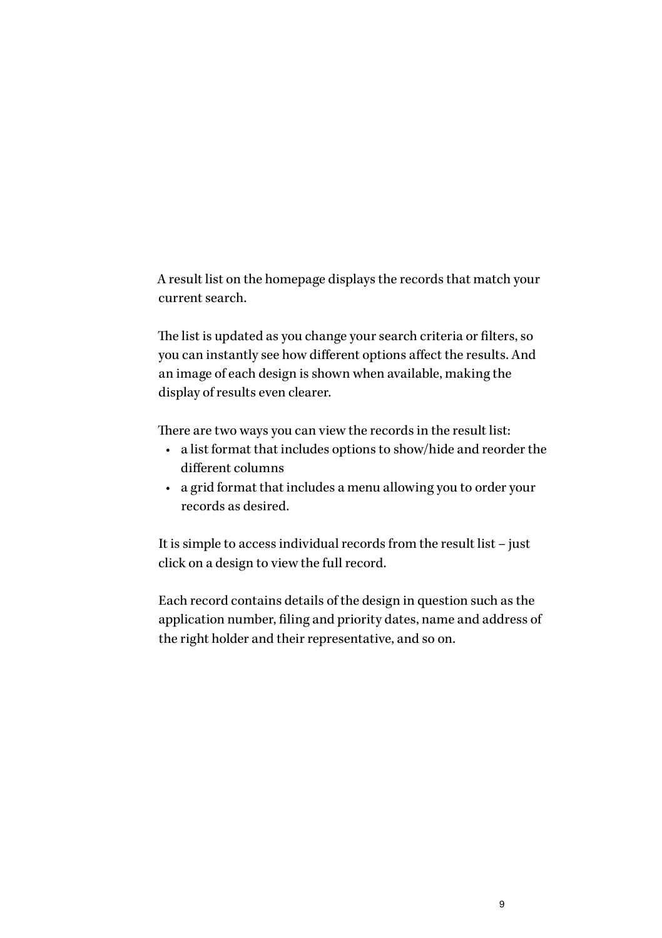A result list on the [homepage](http://www.wipo.int/designdb/en/index.jsp) displays the records that match your current search.

The list is updated as you change your search criteria or filters, so you can instantly see how different options affect the results. And an image of each design is shown when available, making the display of results even clearer.

There are two ways you can view the records in the result list:

- a list format that includes options to show/hide and reorder the different columns
- a grid format that includes a menu allowing you to order your records as desired.

It is simple to access individual records from the result list – just click on a design to view the full record.

Each record contains details of the design in question such as the application number, filing and priority dates, name and address of the right holder and their representative, and so on.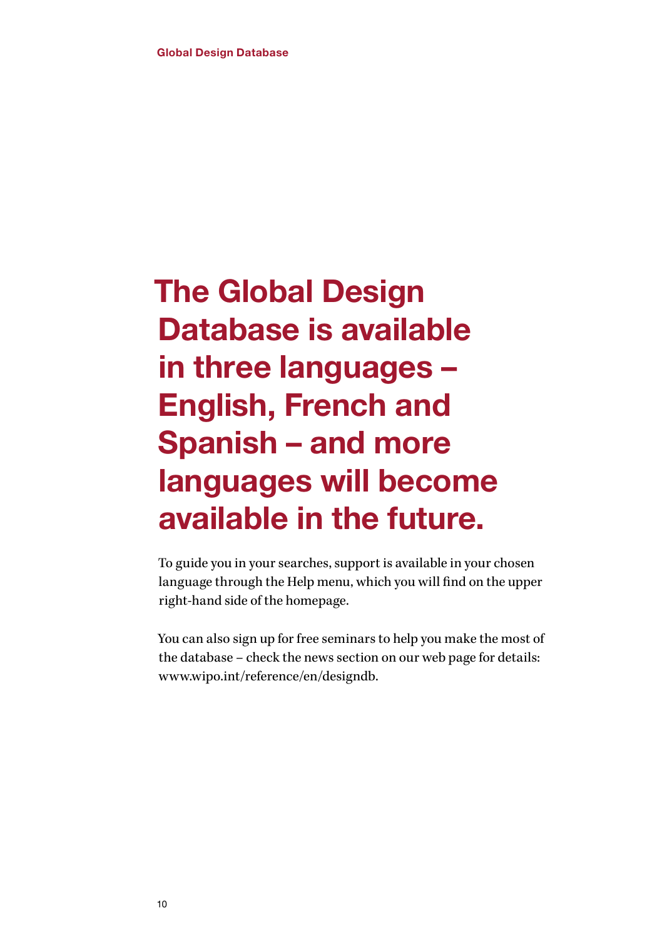## The Global Design Database is available in three languages – English, French and Spanish – and more languages will become available in the future.

To guide you in your searches, support is available in your chosen language through the Help menu, which you will find on the upper right-hand side of the [homepage](http://www.wipo.int/designdb/en/index.jsp).

You can also sign up for free seminars to help you make the most of the database – check the news section on our web page for details: [www.wipo.int/reference/en/designdb](http://www.wipo.int/reference/en/designdb).